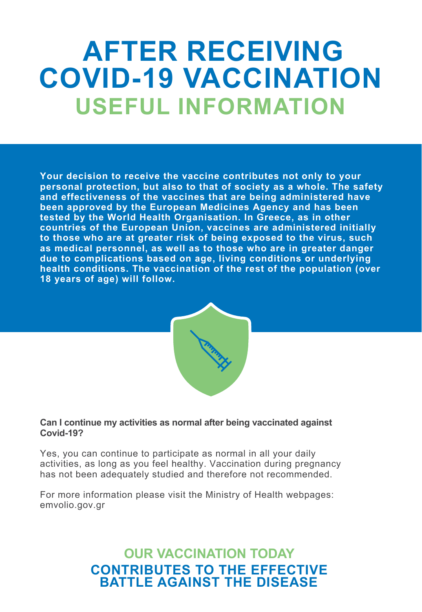# **AFTER RECEIVING COVID-19 VACCINATION USEFUL INFORMATION**

**Your decision to receive the vaccine contributes not only to your personal protection, but also to that of society as a whole. The safety and effectiveness of the vaccines that are being administered have been approved by the European Medicines Agency and has been tested by the World Health Organisation. In Greece, as in other countries of the European Union, vaccines are administered initially to those who are at greater risk of being exposed to the virus, such as medical personnel, as well as to those who are in greater danger due to complications based on age, living conditions or underlying health conditions. The vaccination of the rest of the population (over 18 years of age) will follow.** 



#### **Can I continue my activities as normal after being vaccinated against Covid-19?**

Yes, you can continue to participate as normal in all your daily activities, as long as you feel healthy. Vaccination during pregnancy has not been adequately studied and therefore not recommended.

For more information please visit the Ministry of Health webpages: emvolio.gov.gr

## **OUR VACCINATION TODAY CONTRIBUTES TO THE EFFECTIVE BATTLE AGAINST THE DISEASE**